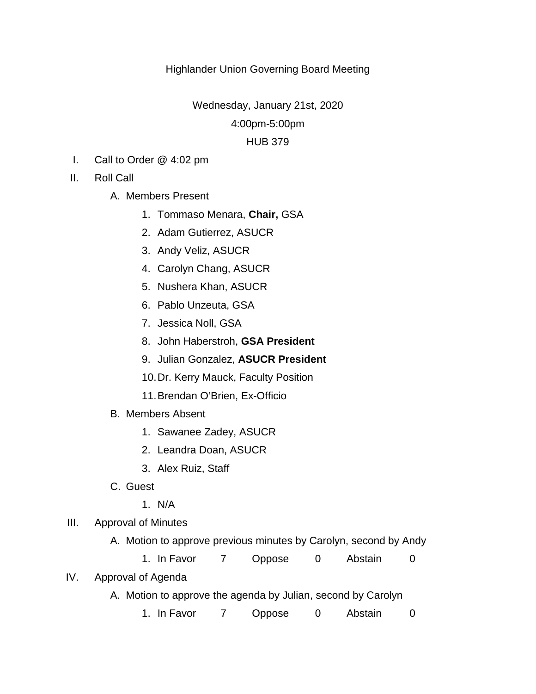## Highlander Union Governing Board Meeting

Wednesday, January 21st, 2020

4:00pm-5:00pm

## HUB 379

- I. Call to Order @ 4:02 pm
- II. Roll Call
	- A. Members Present
		- 1. Tommaso Menara, **Chair,** GSA
		- 2. Adam Gutierrez, ASUCR
		- 3. Andy Veliz, ASUCR
		- 4. Carolyn Chang, ASUCR
		- 5. Nushera Khan, ASUCR
		- 6. Pablo Unzeuta, GSA
		- 7. Jessica Noll, GSA
		- 8. John Haberstroh, **GSA President**
		- 9. Julian Gonzalez, **ASUCR President**
		- 10.Dr. Kerry Mauck, Faculty Position
		- 11.Brendan O'Brien, Ex-Officio
	- B. Members Absent
		- 1. Sawanee Zadey, ASUCR
		- 2. Leandra Doan, ASUCR
		- 3. Alex Ruiz, Staff
	- C. Guest
		- 1. N/A
- III. Approval of Minutes
	- A. Motion to approve previous minutes by Carolyn, second by Andy
		- 1. In Favor 7 Oppose 0 Abstain 0
- IV. Approval of Agenda
	- A. Motion to approve the agenda by Julian, second by Carolyn
		- 1. In Favor 7 Oppose 0 Abstain 0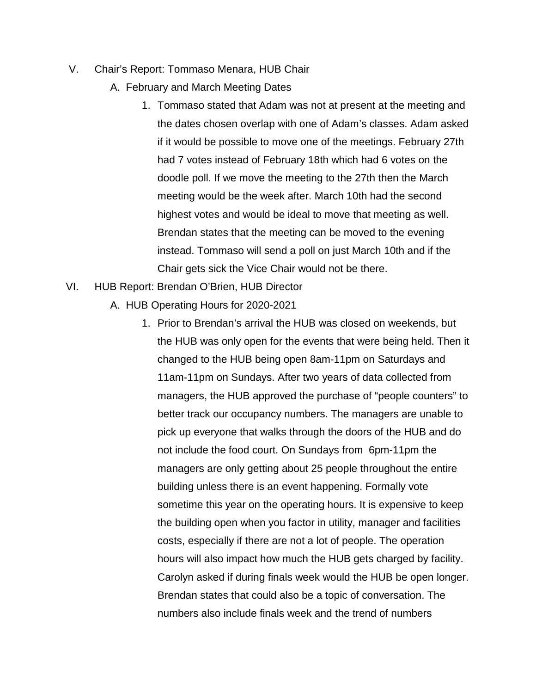- V. Chair's Report: Tommaso Menara, HUB Chair
	- A. February and March Meeting Dates
		- 1. Tommaso stated that Adam was not at present at the meeting and the dates chosen overlap with one of Adam's classes. Adam asked if it would be possible to move one of the meetings. February 27th had 7 votes instead of February 18th which had 6 votes on the doodle poll. If we move the meeting to the 27th then the March meeting would be the week after. March 10th had the second highest votes and would be ideal to move that meeting as well. Brendan states that the meeting can be moved to the evening instead. Tommaso will send a poll on just March 10th and if the Chair gets sick the Vice Chair would not be there.
- VI. HUB Report: Brendan O'Brien, HUB Director
	- A. HUB Operating Hours for 2020-2021
		- 1. Prior to Brendan's arrival the HUB was closed on weekends, but the HUB was only open for the events that were being held. Then it changed to the HUB being open 8am-11pm on Saturdays and 11am-11pm on Sundays. After two years of data collected from managers, the HUB approved the purchase of "people counters" to better track our occupancy numbers. The managers are unable to pick up everyone that walks through the doors of the HUB and do not include the food court. On Sundays from 6pm-11pm the managers are only getting about 25 people throughout the entire building unless there is an event happening. Formally vote sometime this year on the operating hours. It is expensive to keep the building open when you factor in utility, manager and facilities costs, especially if there are not a lot of people. The operation hours will also impact how much the HUB gets charged by facility. Carolyn asked if during finals week would the HUB be open longer. Brendan states that could also be a topic of conversation. The numbers also include finals week and the trend of numbers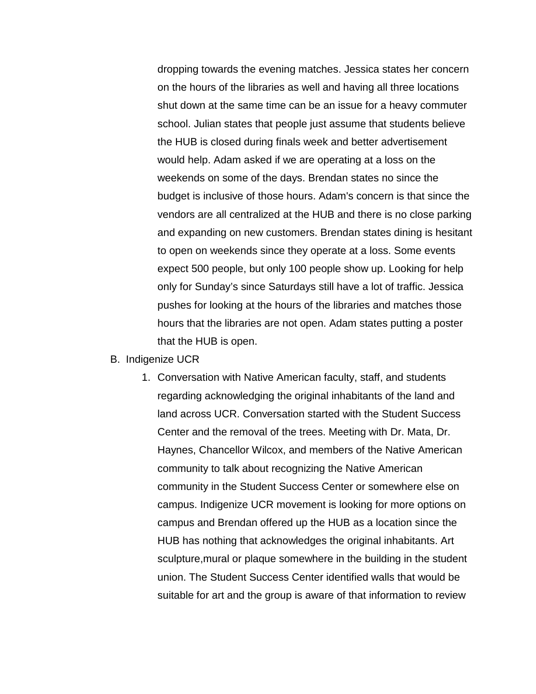dropping towards the evening matches. Jessica states her concern on the hours of the libraries as well and having all three locations shut down at the same time can be an issue for a heavy commuter school. Julian states that people just assume that students believe the HUB is closed during finals week and better advertisement would help. Adam asked if we are operating at a loss on the weekends on some of the days. Brendan states no since the budget is inclusive of those hours. Adam's concern is that since the vendors are all centralized at the HUB and there is no close parking and expanding on new customers. Brendan states dining is hesitant to open on weekends since they operate at a loss. Some events expect 500 people, but only 100 people show up. Looking for help only for Sunday's since Saturdays still have a lot of traffic. Jessica pushes for looking at the hours of the libraries and matches those hours that the libraries are not open. Adam states putting a poster that the HUB is open.

- B. Indigenize UCR
	- 1. Conversation with Native American faculty, staff, and students regarding acknowledging the original inhabitants of the land and land across UCR. Conversation started with the Student Success Center and the removal of the trees. Meeting with Dr. Mata, Dr. Haynes, Chancellor Wilcox, and members of the Native American community to talk about recognizing the Native American community in the Student Success Center or somewhere else on campus. Indigenize UCR movement is looking for more options on campus and Brendan offered up the HUB as a location since the HUB has nothing that acknowledges the original inhabitants. Art sculpture,mural or plaque somewhere in the building in the student union. The Student Success Center identified walls that would be suitable for art and the group is aware of that information to review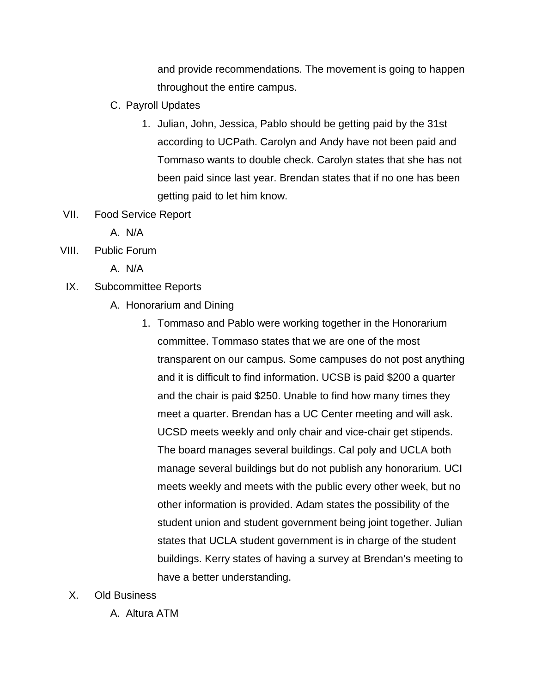and provide recommendations. The movement is going to happen throughout the entire campus.

- C. Payroll Updates
	- 1. Julian, John, Jessica, Pablo should be getting paid by the 31st according to UCPath. Carolyn and Andy have not been paid and Tommaso wants to double check. Carolyn states that she has not been paid since last year. Brendan states that if no one has been getting paid to let him know.
- VII. Food Service Report
	- A. N/A
- VIII. Public Forum
	- A. N/A
- IX. Subcommittee Reports
	- A. Honorarium and Dining
		- 1. Tommaso and Pablo were working together in the Honorarium committee. Tommaso states that we are one of the most transparent on our campus. Some campuses do not post anything and it is difficult to find information. UCSB is paid \$200 a quarter and the chair is paid \$250. Unable to find how many times they meet a quarter. Brendan has a UC Center meeting and will ask. UCSD meets weekly and only chair and vice-chair get stipends. The board manages several buildings. Cal poly and UCLA both manage several buildings but do not publish any honorarium. UCI meets weekly and meets with the public every other week, but no other information is provided. Adam states the possibility of the student union and student government being joint together. Julian states that UCLA student government is in charge of the student buildings. Kerry states of having a survey at Brendan's meeting to have a better understanding.
- X. Old Business
	- A. Altura ATM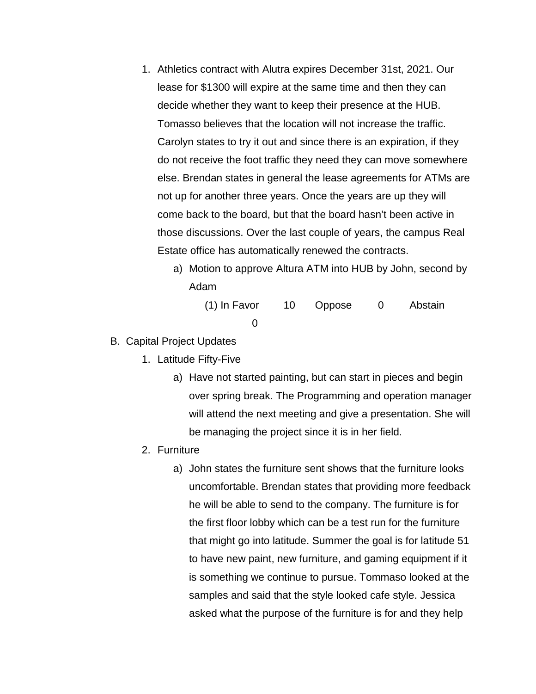- 1. Athletics contract with Alutra expires December 31st, 2021. Our lease for \$1300 will expire at the same time and then they can decide whether they want to keep their presence at the HUB. Tomasso believes that the location will not increase the traffic. Carolyn states to try it out and since there is an expiration, if they do not receive the foot traffic they need they can move somewhere else. Brendan states in general the lease agreements for ATMs are not up for another three years. Once the years are up they will come back to the board, but that the board hasn't been active in those discussions. Over the last couple of years, the campus Real Estate office has automatically renewed the contracts.
	- a) Motion to approve Altura ATM into HUB by John, second by Adam

| $(1)$ In Favor | 10 Oppose | Abstain |
|----------------|-----------|---------|
|                |           |         |

- B. Capital Project Updates
	- 1. Latitude Fifty-Five
		- a) Have not started painting, but can start in pieces and begin over spring break. The Programming and operation manager will attend the next meeting and give a presentation. She will be managing the project since it is in her field.
	- 2. Furniture
		- a) John states the furniture sent shows that the furniture looks uncomfortable. Brendan states that providing more feedback he will be able to send to the company. The furniture is for the first floor lobby which can be a test run for the furniture that might go into latitude. Summer the goal is for latitude 51 to have new paint, new furniture, and gaming equipment if it is something we continue to pursue. Tommaso looked at the samples and said that the style looked cafe style. Jessica asked what the purpose of the furniture is for and they help